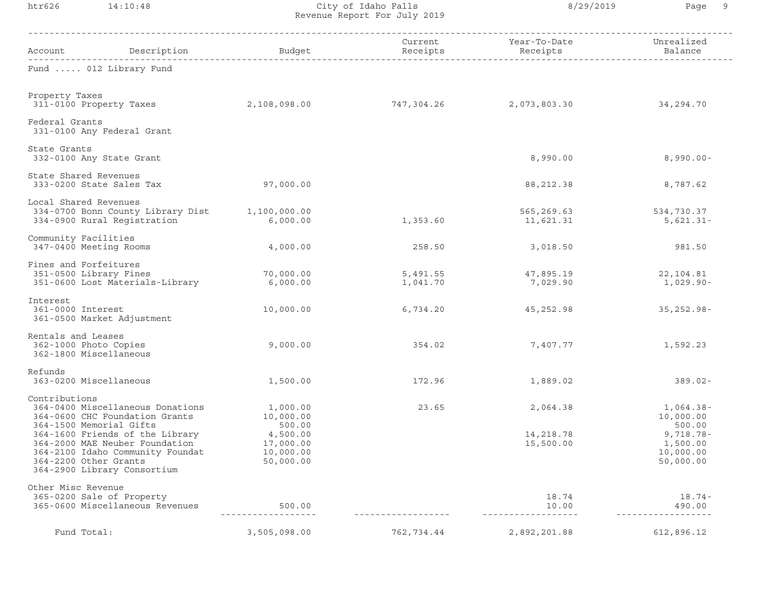htr626 14:10:48 City of Idaho Falls 8/29/2019 Page 9 Revenue Report For July 2019

| Description<br>Account                                                                                                                                        | Budget                                          | Current<br>Receipts  | Year-To-Date<br>Receipts | Unrealized<br>Balance                              |
|---------------------------------------------------------------------------------------------------------------------------------------------------------------|-------------------------------------------------|----------------------|--------------------------|----------------------------------------------------|
| Fund  012 Library Fund                                                                                                                                        |                                                 |                      |                          |                                                    |
| Property Taxes<br>311-0100 Property Taxes                                                                                                                     | 2,108,098.00                                    | 747,304.26           | 2,073,803.30             | 34,294.70                                          |
| Federal Grants<br>331-0100 Any Federal Grant                                                                                                                  |                                                 |                      |                          |                                                    |
| State Grants<br>332-0100 Any State Grant                                                                                                                      |                                                 |                      | 8,990.00                 | $8,990.00 -$                                       |
| State Shared Revenues<br>333-0200 State Sales Tax                                                                                                             | 97,000.00                                       |                      | 88, 212.38               | 8,787.62                                           |
| Local Shared Revenues<br>334-0700 Bonn County Library Dist<br>334-0900 Rural Registration                                                                     | 1,100,000.00<br>6,000.00                        | 1,353.60             | 565,269.63<br>11,621.31  | 534,730.37<br>$5,621.31-$                          |
| Community Facilities<br>347-0400 Meeting Rooms                                                                                                                | 4,000.00                                        | 258.50               | 3,018.50                 | 981.50                                             |
| Fines and Forfeitures<br>351-0500 Library Fines<br>351-0600 Lost Materials-Library                                                                            | 70,000.00<br>6,000.00                           | 5,491.55<br>1,041.70 | 47,895.19<br>7,029.90    | 22,104.81<br>$1,029.90 -$                          |
| Interest<br>361-0000 Interest<br>361-0500 Market Adjustment                                                                                                   | 10,000.00                                       | 6,734.20             | 45,252.98                | $35, 252.98 -$                                     |
| Rentals and Leases<br>362-1000 Photo Copies<br>362-1800 Miscellaneous                                                                                         | 9,000.00                                        | 354.02               | 7,407.77                 | 1,592.23                                           |
| Refunds<br>363-0200 Miscellaneous                                                                                                                             | 1,500.00                                        | 172.96               | 1,889.02                 | $389.02 -$                                         |
| Contributions<br>364-0400 Miscellaneous Donations<br>364-0600 CHC Foundation Grants<br>364-1500 Memorial Gifts                                                | 1,000.00<br>10,000.00<br>500.00                 | 23.65                | 2,064.38                 | $1,064.38-$<br>10,000.00<br>500.00                 |
| 364-1600 Friends of the Library<br>364-2000 MAE Neuber Foundation<br>364-2100 Idaho Community Foundat<br>364-2200 Other Grants<br>364-2900 Library Consortium | 4,500.00<br>17,000.00<br>10,000.00<br>50,000.00 |                      | 14,218.78<br>15,500.00   | $9,718.78 -$<br>1,500.00<br>10,000.00<br>50,000.00 |
| Other Misc Revenue<br>365-0200 Sale of Property<br>365-0600 Miscellaneous Revenues                                                                            | 500.00<br><u>__________________</u>             | -------------        | 18.74<br>10.00           | $18.74-$<br>490.00<br>----------------             |
| Fund Total:                                                                                                                                                   | 3,505,098.00                                    | 762,734.44           | 2,892,201.88             | 612,896.12                                         |